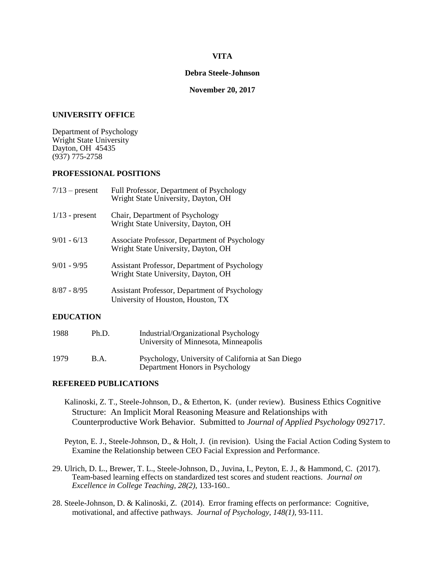## **VITA**

#### **Debra Steele-Johnson**

### **November 20, 2017**

#### **UNIVERSITY OFFICE**

Department of Psychology Wright State University Dayton, OH 45435 (937) 775-2758

## **PROFESSIONAL POSITIONS**

| $7/13$ – present | Full Professor, Department of Psychology<br>Wright State University, Dayton, OH      |
|------------------|--------------------------------------------------------------------------------------|
| $1/13$ - present | Chair, Department of Psychology<br>Wright State University, Dayton, OH               |
| $9/01 - 6/13$    | Associate Professor, Department of Psychology<br>Wright State University, Dayton, OH |
| $9/01 - 9/95$    | Assistant Professor, Department of Psychology<br>Wright State University, Dayton, OH |
| $8/87 - 8/95$    | Assistant Professor, Department of Psychology<br>University of Houston, Houston, TX  |

### **EDUCATION**

| 1988 | Ph.D. | Industrial/Organizational Psychology<br>University of Minnesota, Minneapolis         |
|------|-------|--------------------------------------------------------------------------------------|
| 1979 | B.A.  | Psychology, University of California at San Diego<br>Department Honors in Psychology |

### **REFEREED PUBLICATIONS**

 Kalinoski, Z. T., Steele-Johnson, D., & Etherton, K. (under review). Business Ethics Cognitive Structure: An Implicit Moral Reasoning Measure and Relationships with Counterproductive Work Behavior. Submitted to *Journal of Applied Psychology* 092717.

 Peyton, E. J., Steele-Johnson, D., & Holt, J. (in revision). Using the Facial Action Coding System to Examine the Relationship between CEO Facial Expression and Performance.

- 29. Ulrich, D. L., Brewer, T. L., Steele-Johnson, D., Juvina, I., Peyton, E. J., & Hammond, C. (2017). Team-based learning effects on standardized test scores and student reactions. *Journal on Excellence in College Teaching, 28(2)*, 133-160..
- 28. Steele-Johnson, D. & Kalinoski, Z. (2014). Error framing effects on performance: Cognitive, motivational, and affective pathways. *Journal of Psychology, 148(1),* 93-111*.*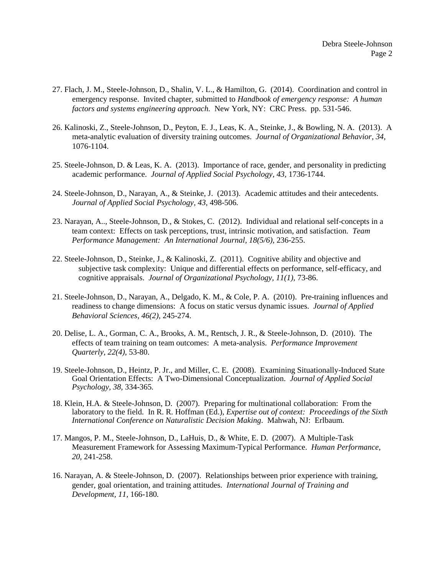- 27. Flach, J. M., Steele-Johnson, D., Shalin, V. L., & Hamilton, G. (2014). Coordination and control in emergency response. Invited chapter, submitted to *Handbook of emergency response: A human factors and systems engineering approach.* New York, NY: CRC Press. pp. 531-546.
- 26. Kalinoski, Z., Steele-Johnson, D., Peyton, E. J., Leas, K. A., Steinke, J., & Bowling, N. A. (2013). A meta-analytic evaluation of diversity training outcomes. *Journal of Organizational Behavior, 34,* 1076-1104.
- 25. Steele-Johnson, D. & Leas, K. A. (2013). Importance of race, gender, and personality in predicting academic performance. *Journal of Applied Social Psychology, 43,* 1736-1744.
- 24. Steele-Johnson, D., Narayan, A., & Steinke, J. (2013). Academic attitudes and their antecedents. *Journal of Applied Social Psychology, 43,* 498-506*.*
- 23. Narayan, A.., Steele-Johnson, D., & Stokes, C. (2012). Individual and relational self-concepts in a team context: Effects on task perceptions, trust, intrinsic motivation, and satisfaction. *Team Performance Management: An International Journal, 18(5/6),* 236-255.
- 22. Steele-Johnson, D., Steinke, J., & Kalinoski, Z. (2011). Cognitive ability and objective and subjective task complexity: Unique and differential effects on performance, self-efficacy, and cognitive appraisals. *Journal of Organizational Psychology, 11(1),* 73-86.
- 21. Steele-Johnson, D., Narayan, A., Delgado, K. M., & Cole, P. A. (2010). Pre-training influences and readiness to change dimensions: A focus on static versus dynamic issues. *Journal of Applied Behavioral Sciences*, *46(2)*, 245-274.
- 20. Delise, L. A., Gorman, C. A., Brooks, A. M., Rentsch, J. R., & Steele-Johnson, D. (2010). The effects of team training on team outcomes: A meta-analysis. *Performance Improvement Quarterly, 22(4),* 53-80.
- 19. Steele-Johnson, D., Heintz, P. Jr., and Miller, C. E. (2008). Examining Situationally-Induced State Goal Orientation Effects: A Two-Dimensional Conceptualization. *Journal of Applied Social Psychology, 38,* 334-365*.*
- 18. Klein, H.A. & Steele-Johnson, D. (2007). Preparing for multinational collaboration: From the laboratory to the field. In R. R. Hoffman (Ed.), *Expertise out of context: Proceedings of the Sixth International Conference on Naturalistic Decision Making.* Mahwah, NJ: Erlbaum.
- 17. Mangos, P. M., Steele-Johnson, D., LaHuis, D., & White, E. D. (2007). A Multiple-Task Measurement Framework for Assessing Maximum-Typical Performance. *Human Performance, 20,* 241-258.
- 16. Narayan, A. & Steele-Johnson, D. (2007). Relationships between prior experience with training, gender, goal orientation, and training attitudes. *International Journal of Training and Development, 11,* 166-180*.*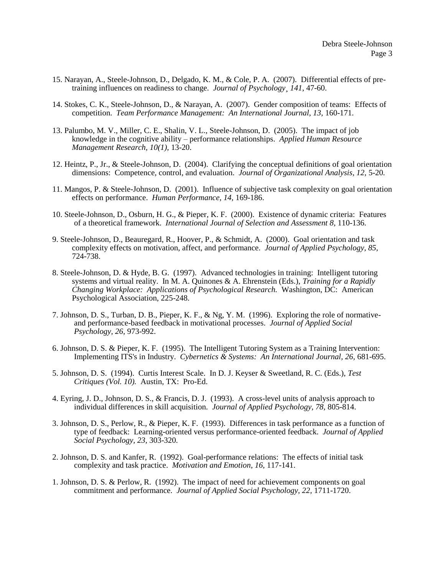- 15. Narayan, A., Steele-Johnson, D., Delgado, K. M., & Cole, P. A. (2007). Differential effects of pretraining influences on readiness to change. *Journal of Psychology¸141*, 47-60.
- 14. Stokes, C. K., Steele-Johnson, D., & Narayan, A. (2007). Gender composition of teams: Effects of competition. *Team Performance Management: An International Journal, 13,* 160-171.
- 13. Palumbo, M. V., Miller, C. E., Shalin, V. L., Steele-Johnson, D. (2005). The impact of job knowledge in the cognitive ability – performance relationships. *Applied Human Resource Management Research, 10(1),* 13-20.
- 12. Heintz, P., Jr., & Steele-Johnson, D. (2004). Clarifying the conceptual definitions of goal orientation dimensions: Competence, control, and evaluation. *Journal of Organizational Analysis, 12,* 5-20*.*
- 11. Mangos, P. & Steele-Johnson, D. (2001). Influence of subjective task complexity on goal orientation effects on performance. *Human Performance, 14,* 169-186.
- 10. Steele-Johnson, D., Osburn, H. G., & Pieper, K. F. (2000). Existence of dynamic criteria: Features of a theoretical framework. *International Journal of Selection and Assessment 8,* 110-136.
- 9. Steele-Johnson, D., Beauregard, R., Hoover, P., & Schmidt, A. (2000). Goal orientation and task complexity effects on motivation, affect, and performance. *Journal of Applied Psychology, 85,* 724-738.
- 8. Steele-Johnson, D. & Hyde, B. G. (1997). Advanced technologies in training: Intelligent tutoring systems and virtual reality. In M. A. Quinones & A. Ehrenstein (Eds.), *Training for a Rapidly Changing Workplace: Applications of Psychological Research.* Washington, DC: American Psychological Association, 225-248.
- 7. Johnson, D. S., Turban, D. B., Pieper, K. F., & Ng, Y. M. (1996). Exploring the role of normativeand performance-based feedback in motivational processes. *Journal of Applied Social Psychology, 26,* 973-992.
- 6. Johnson, D. S. & Pieper, K. F. (1995). The Intelligent Tutoring System as a Training Intervention: Implementing ITS's in Industry. *Cybernetics & Systems: An International Journal, 26,* 681-695.
- 5. Johnson, D. S. (1994). Curtis Interest Scale. In D. J. Keyser & Sweetland, R. C. (Eds.), *Test Critiques (Vol. 10).* Austin, TX: Pro-Ed.
- 4. Eyring, J. D., Johnson, D. S., & Francis, D. J. (1993). A cross-level units of analysis approach to individual differences in skill acquisition. *Journal of Applied Psychology, 78,* 805-814.
- 3. Johnson, D. S., Perlow, R., & Pieper, K. F. (1993). Differences in task performance as a function of type of feedback: Learning-oriented versus performance-oriented feedback. *Journal of Applied Social Psychology, 23,* 303-320.
- 2. Johnson, D. S. and Kanfer, R. (1992). Goal-performance relations: The effects of initial task complexity and task practice. *Motivation and Emotion, 16,* 117-141.
- 1. Johnson, D. S. & Perlow, R. (1992). The impact of need for achievement components on goal commitment and performance. *Journal of Applied Social Psychology, 22,* 1711-1720.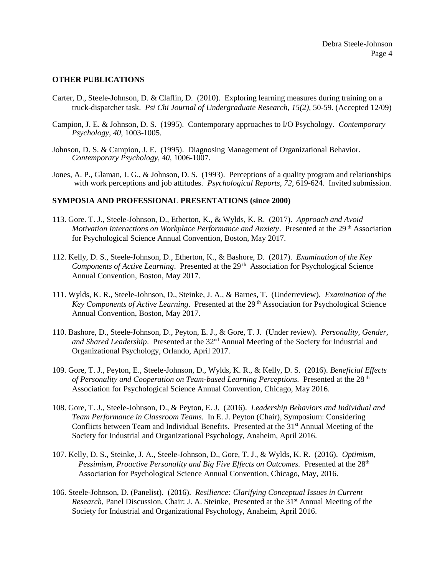## **OTHER PUBLICATIONS**

- Carter, D., Steele-Johnson, D. & Claflin, D. (2010). Exploring learning measures during training on a truck-dispatcher task. *Psi Chi Journal of Undergraduate Research, 15(2),* 50-59. (Accepted 12/09)
- Campion, J. E. & Johnson, D. S. (1995). Contemporary approaches to I/O Psychology. *Contemporary Psychology, 40,* 1003-1005.
- Johnson, D. S. & Campion, J. E. (1995). Diagnosing Management of Organizational Behavior. *Contemporary Psychology, 40,* 1006-1007.
- Jones, A. P., Glaman, J. G., & Johnson, D. S. (1993). Perceptions of a quality program and relationships with work perceptions and job attitudes. *Psychological Reports, 72,* 619-624. Invited submission.

### **SYMPOSIA AND PROFESSIONAL PRESENTATIONS (since 2000)**

- 113. Gore. T. J., Steele-Johnson, D., Etherton, K., & Wylds, K. R. (2017). *Approach and Avoid*  Motivation Interactions on Workplace Performance and Anxiety. Presented at the 29<sup>th</sup> Association for Psychological Science Annual Convention, Boston, May 2017.
- 112. Kelly, D. S., Steele-Johnson, D., Etherton, K., & Bashore, D. (2017). *Examination of the Key*  Components of Active Learning. Presented at the 29<sup>th</sup> Association for Psychological Science Annual Convention, Boston, May 2017.
- 111. Wylds, K. R., Steele-Johnson, D., Steinke, J. A., & Barnes, T. (Underreview). *Examination of the*  Key Components of Active Learning. Presented at the 29<sup>th</sup> Association for Psychological Science Annual Convention, Boston, May 2017.
- 110. Bashore, D., Steele-Johnson, D., Peyton, E. J., & Gore, T. J. (Under review). *Personality, Gender,*  and Shared Leadership. Presented at the 32<sup>nd</sup> Annual Meeting of the Society for Industrial and Organizational Psychology, Orlando, April 2017.
- 109. Gore, T. J., Peyton, E., Steele-Johnson, D., Wylds, K. R., & Kelly, D. S. (2016). *Beneficial Effects of Personality and Cooperation on Team-based Learning Perceptions.* Presented at the 28<sup>th</sup> Association for Psychological Science Annual Convention, Chicago, May 2016.
- 108. Gore, T. J., Steele-Johnson, D., & Peyton, E. J. (2016). *Leadership Behaviors and Individual and Team Performance in Classroom Teams.* In E. J. Peyton (Chair), Symposium: Considering Conflicts between Team and Individual Benefits. Presented at the 31<sup>st</sup> Annual Meeting of the Society for Industrial and Organizational Psychology, Anaheim, April 2016.
- 107. Kelly, D. S., Steinke, J. A., Steele-Johnson, D., Gore, T. J., & Wylds, K. R. (2016). *Optimism, Pessimism, Proactive Personality and Big Five Effects on Outcomes.* Presented at the 28<sup>th</sup> Association for Psychological Science Annual Convention, Chicago, May, 2016.
- 106. Steele-Johnson, D. (Panelist). (2016). *Resilience: Clarifying Conceptual Issues in Current Research, Panel Discussion, Chair: J. A. Steinke, Presented at the 31<sup>st</sup> Annual Meeting of the* Society for Industrial and Organizational Psychology, Anaheim, April 2016.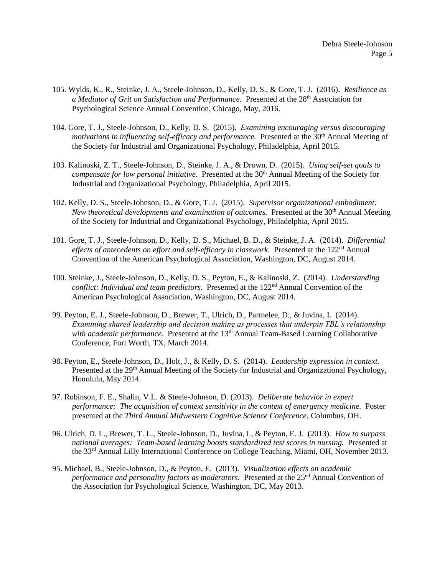- 105. Wylds, K., R., Steinke, J. A., Steele-Johnson, D., Kelly, D. S., & Gore, T. J. (2016). *Resilience as a Mediator of Grit on Satisfaction and Performance.* Presented at the 28<sup>th</sup> Association for Psychological Science Annual Convention, Chicago, May, 2016.
- 104. Gore, T. J., Steele-Johnson, D., Kelly, D. S. (2015). *Examining encouraging versus discouraging motivations in influencing self-efficacy and performance.* Presented at the 30<sup>th</sup> Annual Meeting of the Society for Industrial and Organizational Psychology, Philadelphia, April 2015.
- 103. Kalinoski, Z. T., Steele-Johnson, D., Steinke, J. A., & Drown, D. (2015). *Using self-set goals to compensate for low personal initiative.* Presented at the 30th Annual Meeting of the Society for Industrial and Organizational Psychology, Philadelphia, April 2015.
- 102. Kelly, D. S., Steele-Johnson, D., & Gore, T. J. (2015). *Supervisor organizational embodiment: New theoretical developments and examination of outcomes.* Presented at the 30<sup>th</sup> Annual Meeting of the Society for Industrial and Organizational Psychology, Philadelphia, April 2015.
- 101. Gore, T. J., Steele-Johnson, D., Kelly, D. S., Michael, B. D., & Steinke, J. A. (2014). *Differential*  effects of antecedents on effort and self-efficacy in classwork. Presented at the 122<sup>nd</sup> Annual Convention of the American Psychological Association, Washington, DC, August 2014.
- 100. Steinke, J., Steele-Johnson, D., Kelly, D. S., Peyton, E., & Kalinoski, Z. (2014). *Understanding conflict: Individual and team predictors.* Presented at the 122<sup>nd</sup> Annual Convention of the American Psychological Association, Washington, DC, August 2014.
- 99. Peyton, E. J., Steele-Johnson, D., Brewer, T., Ulrich, D., Parmelee, D., & Juvina, I. (2014). *Examining shared leadership and decision making as processes that underpin TBL's relationship*  with academic performance. Presented at the 13<sup>th</sup> Annual Team-Based Learning Collaborative Conference, Fort Worth, TX, March 2014.
- 98. Peyton, E., Steele-Johnson, D., Holt, J., & Kelly, D. S. (2014). *Leadership expression in context.* Presented at the 29<sup>th</sup> Annual Meeting of the Society for Industrial and Organizational Psychology, Honolulu, May 2014.
- 97. Robinson, F. E., Shalin, V.L. & Steele-Johnson, D. (2013). *Deliberate behavior in expert performance: The acquisition of context sensitivity in the context of emergency medicine.* Poster presented at the *Third Annual Midwestern Cognitive Science Conference*, Columbus, OH.
- 96. Ulrich, D. L., Brewer, T. L., Steele-Johnson, D., Juvina, I., & Peyton, E. J. (2013). *How to surpass national averages: Team-based learning boosts standardized test scores in nursing.* Presented at the 33rd Annual Lilly International Conference on College Teaching, Miami, OH, November 2013.
- 95. Michael, B., Steele-Johnson, D., & Peyton, E. (2013). *Visualization effects on academic performance and personality factors as moderators.* Presented at the 25nd Annual Convention of the Association for Psychological Science, Washington, DC, May 2013.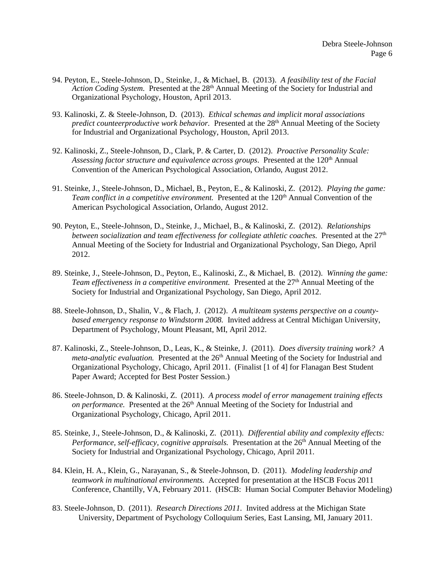- 94. Peyton, E., Steele-Johnson, D., Steinke, J., & Michael, B. (2013). *A feasibility test of the Facial*  Action Coding System. Presented at the 28<sup>th</sup> Annual Meeting of the Society for Industrial and Organizational Psychology, Houston, April 2013.
- 93. Kalinoski, Z. & Steele-Johnson, D. (2013). *Ethical schemas and implicit moral associations*  predict counteerproductive work behavior. Presented at the 28<sup>th</sup> Annual Meeting of the Society for Industrial and Organizational Psychology, Houston, April 2013.
- 92. Kalinoski, Z., Steele-Johnson, D., Clark, P. & Carter, D. (2012). *Proactive Personality Scale:*  Assessing factor structure and equivalence across groups. Presented at the 120<sup>th</sup> Annual Convention of the American Psychological Association, Orlando, August 2012.
- 91. Steinke, J., Steele-Johnson, D., Michael, B., Peyton, E., & Kalinoski, Z. (2012). *Playing the game: Team conflict in a competitive environment.* Presented at the 120<sup>th</sup> Annual Convention of the American Psychological Association, Orlando, August 2012.
- 90. Peyton, E., Steele-Johnson, D., Steinke, J., Michael, B., & Kalinoski, Z. (2012). *Relationships*  between socialization and team effectiveness for collegiate athletic coaches. Presented at the 27<sup>th</sup> Annual Meeting of the Society for Industrial and Organizational Psychology, San Diego, April 2012.
- 89. Steinke, J., Steele-Johnson, D., Peyton, E., Kalinoski, Z., & Michael, B. (2012). *Winning the game: Team effectiveness in a competitive environment.* Presented at the 27<sup>th</sup> Annual Meeting of the Society for Industrial and Organizational Psychology, San Diego, April 2012.
- 88. Steele-Johnson, D., Shalin, V., & Flach, J. (2012). *A multiteam systems perspective on a countybased emergency response to Windstorm 2008.* Invited address at Central Michigan University, Department of Psychology, Mount Pleasant, MI, April 2012.
- 87. Kalinoski, Z., Steele-Johnson, D., Leas, K., & Steinke, J. (2011). *Does diversity training work? A*  meta-analytic evaluation. Presented at the 26<sup>th</sup> Annual Meeting of the Society for Industrial and Organizational Psychology, Chicago, April 2011. (Finalist [1 of 4] for Flanagan Best Student Paper Award; Accepted for Best Poster Session.)
- 86. Steele-Johnson, D. & Kalinoski, Z. (2011). *A process model of error management training effects*  on performance. Presented at the 26<sup>th</sup> Annual Meeting of the Society for Industrial and Organizational Psychology, Chicago, April 2011.
- 85. Steinke, J., Steele-Johnson, D., & Kalinoski, Z. (2011). *Differential ability and complexity effects:*  Performance, self-efficacy, cognitive appraisals. Presentation at the 26<sup>th</sup> Annual Meeting of the Society for Industrial and Organizational Psychology, Chicago, April 2011.
- 84. Klein, H. A., Klein, G., Narayanan, S., & Steele-Johnson, D. (2011). *Modeling leadership and teamwork in multinational environments.* Accepted for presentation at the HSCB Focus 2011 Conference, Chantilly, VA, February 2011. (HSCB: Human Social Computer Behavior Modeling)
- 83. Steele-Johnson, D. (2011). *Research Directions 2011.* Invited address at the Michigan State University, Department of Psychology Colloquium Series, East Lansing, MI, January 2011.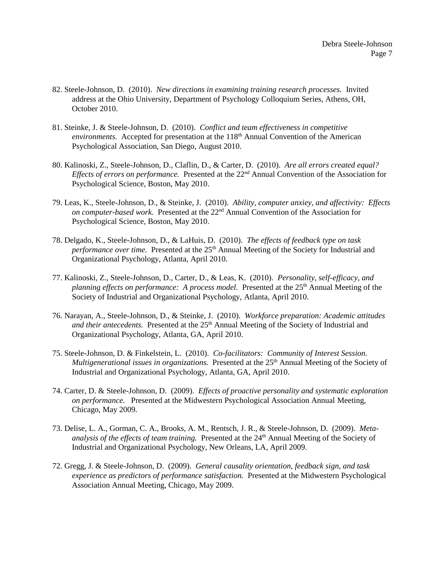- 82. Steele-Johnson, D. (2010). *New directions in examining training research processes.* Invited address at the Ohio University, Department of Psychology Colloquium Series, Athens, OH, October 2010.
- 81. Steinke, J. & Steele-Johnson, D. (2010). *Conflict and team effectiveness in competitive environments.* Accepted for presentation at the 118<sup>th</sup> Annual Convention of the American Psychological Association, San Diego, August 2010.
- 80. Kalinoski, Z., Steele-Johnson, D., Claflin, D., & Carter, D. (2010). *Are all errors created equal? Effects of errors on performance.* Presented at the 22<sup>nd</sup> Annual Convention of the Association for Psychological Science, Boston, May 2010.
- 79. Leas, K., Steele-Johnson, D., & Steinke, J. (2010). *Ability, computer anxiey, and affectivity: Effects on computer-based work.* Presented at the 22<sup>nd</sup> Annual Convention of the Association for Psychological Science, Boston, May 2010.
- 78. Delgado, K., Steele-Johnson, D., & LaHuis, D. (2010). *The effects of feedback type on task performance over time.* Presented at the 25<sup>th</sup> Annual Meeting of the Society for Industrial and Organizational Psychology, Atlanta, April 2010.
- 77. Kalinoski, Z., Steele-Johnson, D., Carter, D., & Leas, K. (2010). *Personality, self-efficacy, and planning effects on performance: A process model.* Presented at the 25<sup>th</sup> Annual Meeting of the Society of Industrial and Organizational Psychology, Atlanta, April 2010.
- 76. Narayan, A., Steele-Johnson, D., & Steinke, J. (2010). *Workforce preparation: Academic attitudes*  and their antecedents. Presented at the 25<sup>th</sup> Annual Meeting of the Society of Industrial and Organizational Psychology, Atlanta, GA, April 2010.
- 75. Steele-Johnson, D. & Finkelstein, L. (2010). *Co-facilitators: Community of Interest Session. Multigenerational issues in organizations.* Presented at the 25<sup>th</sup> Annual Meeting of the Society of Industrial and Organizational Psychology, Atlanta, GA, April 2010.
- 74. Carter, D. & Steele-Johnson, D. (2009). *Effects of proactive personality and systematic exploration on performance.* Presented at the Midwestern Psychological Association Annual Meeting, Chicago, May 2009.
- 73. Delise, L. A., Gorman, C. A., Brooks, A. M., Rentsch, J. R., & Steele-Johnson, D. (2009). *Metaanalysis of the effects of team training.* Presented at the 24<sup>th</sup> Annual Meeting of the Society of Industrial and Organizational Psychology, New Orleans, LA, April 2009.
- 72. Gregg, J. & Steele-Johnson, D. (2009). *General causality orientation, feedback sign, and task experience as predictors of performance satisfaction.* Presented at the Midwestern Psychological Association Annual Meeting, Chicago, May 2009.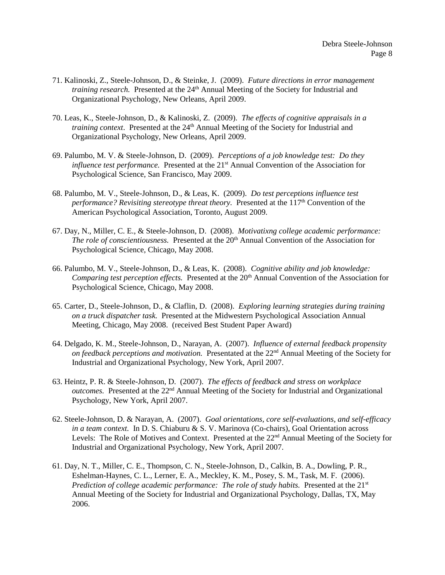- 71. Kalinoski, Z., Steele-Johnson, D., & Steinke, J. (2009). *Future directions in error management training research.* Presented at the 24<sup>th</sup> Annual Meeting of the Society for Industrial and Organizational Psychology, New Orleans, April 2009.
- 70. Leas, K., Steele-Johnson, D., & Kalinoski, Z. (2009). *The effects of cognitive appraisals in a training context*. Presented at the 24<sup>th</sup> Annual Meeting of the Society for Industrial and Organizational Psychology, New Orleans, April 2009.
- 69. Palumbo, M. V. & Steele-Johnson, D. (2009). *Perceptions of a job knowledge test: Do they influence test performance.* Presented at the 21<sup>st</sup> Annual Convention of the Association for Psychological Science, San Francisco, May 2009.
- 68. Palumbo, M. V., Steele-Johnson, D., & Leas, K. (2009). *Do test perceptions influence test performance? Revisiting stereotype threat theory.* Presented at the 117<sup>th</sup> Convention of the American Psychological Association, Toronto, August 2009.
- 67. Day, N., Miller, C. E., & Steele-Johnson, D. (2008). *Motivatixng college academic performance: The role of conscientiousness.* Presented at the 20<sup>th</sup> Annual Convention of the Association for Psychological Science, Chicago, May 2008.
- 66. Palumbo, M. V., Steele-Johnson, D., & Leas, K. (2008). *Cognitive ability and job knowledge: Comparing test perception effects.* Presented at the 20<sup>th</sup> Annual Convention of the Association for Psychological Science, Chicago, May 2008.
- 65. Carter, D., Steele-Johnson, D., & Claflin, D. (2008). *Exploring learning strategies during training on a truck dispatcher task.* Presented at the Midwestern Psychological Association Annual Meeting, Chicago, May 2008. (received Best Student Paper Award)
- 64. Delgado, K. M., Steele-Johnson, D., Narayan, A. (2007). *Influence of external feedback propensity on feedback perceptions and motivation.* Presentated at the 22nd Annual Meeting of the Society for Industrial and Organizational Psychology, New York, April 2007.
- 63. Heintz, P. R. & Steele-Johnson, D. (2007). *The effects of feedback and stress on workplace outcomes.* Presented at the 22nd Annual Meeting of the Society for Industrial and Organizational Psychology, New York, April 2007.
- 62. Steele-Johnson, D. & Narayan, A. (2007). *Goal orientations, core self-evaluations, and self-efficacy in a team context.* In D. S. Chiaburu & S. V. Marinova (Co-chairs), Goal Orientation across Levels: The Role of Motives and Context. Presented at the 22nd Annual Meeting of the Society for Industrial and Organizational Psychology, New York, April 2007.
- 61. Day, N. T., Miller, C. E., Thompson, C. N., Steele-Johnson, D., Calkin, B. A., Dowling, P. R., Eshelman-Haynes, C. L., Lerner, E. A., Meckley, K. M., Posey, S. M., Task, M. F. (2006). *Prediction of college academic performance: The role of study habits.* Presented at the 21<sup>st</sup> Annual Meeting of the Society for Industrial and Organizational Psychology, Dallas, TX, May 2006.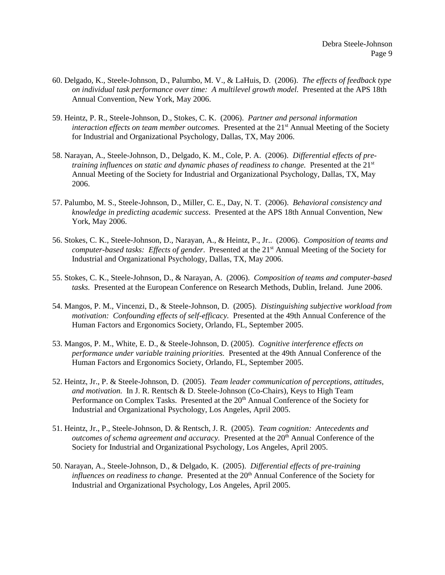- 60. Delgado, K., Steele-Johnson, D., Palumbo, M. V., & LaHuis, D. (2006). *The effects of feedback type on individual task performance over time: A multilevel growth model.* Presented at the APS 18th Annual Convention, New York, May 2006.
- 59. Heintz, P. R., Steele-Johnson, D., Stokes, C. K. (2006). *Partner and personal information interaction effects on team member outcomes.* Presented at the 21<sup>st</sup> Annual Meeting of the Society for Industrial and Organizational Psychology, Dallas, TX, May 2006.
- 58. Narayan, A., Steele-Johnson, D., Delgado, K. M., Cole, P. A. (2006). *Differential effects of pretraining influences on static and dynamic phases of readiness to change.* Presented at the 21<sup>st</sup> Annual Meeting of the Society for Industrial and Organizational Psychology, Dallas, TX, May 2006.
- 57. Palumbo, M. S., Steele-Johnson, D., Miller, C. E., Day, N. T. (2006). *Behavioral consistency and knowledge in predicting academic success*. Presented at the APS 18th Annual Convention, New York, May 2006.
- 56. Stokes, C. K., Steele-Johnson, D., Narayan, A., & Heintz, P., Jr.. (2006). *Composition of teams and computer-based tasks: Effects of gender.* Presented at the 21<sup>st</sup> Annual Meeting of the Society for Industrial and Organizational Psychology, Dallas, TX, May 2006.
- 55. Stokes, C. K., Steele-Johnson, D., & Narayan, A. (2006). *Composition of teams and computer-based tasks.* Presented at the European Conference on Research Methods, Dublin, Ireland. June 2006.
- 54. Mangos, P. M., Vincenzi, D., & Steele-Johnson, D. (2005). *Distinguishing subjective workload from motivation: Confounding effects of self-efficacy.* Presented at the 49th Annual Conference of the Human Factors and Ergonomics Society, Orlando, FL, September 2005.
- 53. Mangos, P. M., White, E. D., & Steele-Johnson, D. (2005). *Cognitive interference effects on performance under variable training priorities.* Presented at the 49th Annual Conference of the Human Factors and Ergonomics Society, Orlando, FL, September 2005.
- 52. Heintz, Jr., P. & Steele-Johnson, D. (2005). *Team leader communication of perceptions, attitudes, and motivation.* In J. R. Rentsch & D. Steele-Johnson (Co-Chairs), Keys to High Team Performance on Complex Tasks. Presented at the 20<sup>th</sup> Annual Conference of the Society for Industrial and Organizational Psychology, Los Angeles, April 2005.
- 51. Heintz, Jr., P., Steele-Johnson, D. & Rentsch, J. R. (2005). *Team cognition: Antecedents and outcomes of schema agreement and accuracy.* Presented at the 20th Annual Conference of the Society for Industrial and Organizational Psychology, Los Angeles, April 2005.
- 50. Narayan, A., Steele-Johnson, D., & Delgado, K. (2005). *Differential effects of pre-training influences on readiness to change.* Presented at the 20<sup>th</sup> Annual Conference of the Society for Industrial and Organizational Psychology, Los Angeles, April 2005.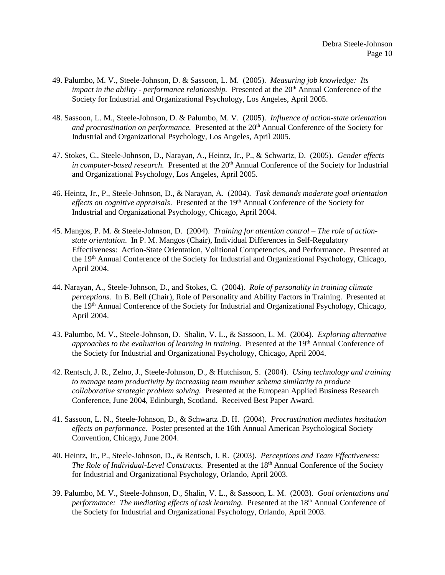- 49. Palumbo, M. V., Steele-Johnson, D. & Sassoon, L. M. (2005). *Measuring job knowledge: Its impact in the ability - performance relationship.* Presented at the 20<sup>th</sup> Annual Conference of the Society for Industrial and Organizational Psychology, Los Angeles, April 2005.
- 48. Sassoon, L. M., Steele-Johnson, D. & Palumbo, M. V. (2005). *Influence of action-state orientation and procrastination on performance.* Presented at the 20<sup>th</sup> Annual Conference of the Society for Industrial and Organizational Psychology, Los Angeles, April 2005.
- 47. Stokes, C., Steele-Johnson, D., Narayan, A., Heintz, Jr., P., & Schwartz, D. (2005). *Gender effects in computer-based research.* Presented at the 20<sup>th</sup> Annual Conference of the Society for Industrial and Organizational Psychology, Los Angeles, April 2005.
- 46. Heintz, Jr., P., Steele-Johnson, D., & Narayan, A. (2004). *Task demands moderate goal orientation effects on cognitive appraisals.* Presented at the 19<sup>th</sup> Annual Conference of the Society for Industrial and Organizational Psychology, Chicago, April 2004.
- 45. Mangos, P. M. & Steele-Johnson, D. (2004). *Training for attention control – The role of actionstate orientation*. In P. M. Mangos (Chair), Individual Differences in Self-Regulatory Effectiveness: Action-State Orientation, Volitional Competencies, and Performance. Presented at the 19th Annual Conference of the Society for Industrial and Organizational Psychology, Chicago, April 2004.
- 44. Narayan, A., Steele-Johnson, D., and Stokes, C. (2004). *Role of personality in training climate perceptions.* In B. Bell (Chair), Role of Personality and Ability Factors in Training. Presented at the 19<sup>th</sup> Annual Conference of the Society for Industrial and Organizational Psychology, Chicago, April 2004.
- 43. Palumbo, M. V., Steele-Johnson, D. Shalin, V. L., & Sassoon, L. M. (2004). *Exploring alternative approaches to the evaluation of learning in training.* Presented at the 19<sup>th</sup> Annual Conference of the Society for Industrial and Organizational Psychology, Chicago, April 2004.
- 42. Rentsch, J. R., Zelno, J., Steele-Johnson, D., & Hutchison, S. (2004). *Using technology and training to manage team productivity by increasing team member schema similarity to produce collaborative strategic problem solving.* Presented at the European Applied Business Research Conference, June 2004, Edinburgh, Scotland. Received Best Paper Award.
- 41. Sassoon, L. N., Steele-Johnson, D., & Schwartz .D. H. (2004). *Procrastination mediates hesitation effects on performance.* Poster presented at the 16th Annual American Psychological Society Convention, Chicago, June 2004.
- 40. Heintz, Jr., P., Steele-Johnson, D., & Rentsch, J. R. (2003). *Perceptions and Team Effectiveness: The Role of Individual-Level Constructs.* Presented at the 18th Annual Conference of the Society for Industrial and Organizational Psychology, Orlando, April 2003.
- 39. Palumbo, M. V., Steele-Johnson, D., Shalin, V. L., & Sassoon, L. M. (2003). *Goal orientations and performance: The mediating effects of task learning.* Presented at the 18<sup>th</sup> Annual Conference of the Society for Industrial and Organizational Psychology, Orlando, April 2003.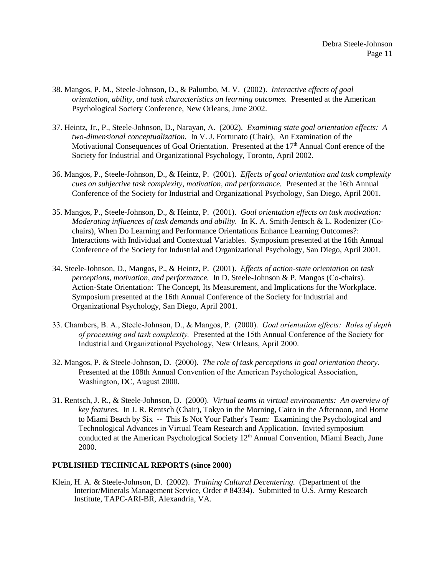- 38. Mangos, P. M., Steele-Johnson, D., & Palumbo, M. V. (2002). *Interactive effects of goal orientation, ability, and task characteristics on learning outcomes.* Presented at the American Psychological Society Conference, New Orleans, June 2002.
- 37. Heintz, Jr., P., Steele-Johnson, D., Narayan, A. (2002). *Examining state goal orientation effects: A two-dimensional conceptualization.* In V. J. Fortunato (Chair), An Examination of the Motivational Consequences of Goal Orientation. Presented at the  $17<sup>th</sup>$  Annual Conf erence of the Society for Industrial and Organizational Psychology, Toronto, April 2002.
- 36. Mangos, P., Steele-Johnson, D., & Heintz, P.(2001). *Effects of goal orientation and task complexity cues on subjective task complexity, motivation, and performance.* Presented at the 16th Annual Conference of the Society for Industrial and Organizational Psychology, San Diego, April 2001.
- 35. Mangos, P., Steele-Johnson, D., & Heintz, P. (2001). *Goal orientation effects on task motivation: Moderating influences of task demands and ability.* In K. A. Smith-Jentsch & L. Rodenizer (Cochairs), When Do Learning and Performance Orientations Enhance Learning Outcomes?: Interactions with Individual and Contextual Variables. Symposium presented at the 16th Annual Conference of the Society for Industrial and Organizational Psychology, San Diego, April 2001.
- 34. Steele-Johnson, D., Mangos, P., & Heintz, P. (2001). *Effects of action-state orientation on task perceptions, motivation, and performance.* In D. Steele-Johnson & P. Mangos (Co-chairs). Action-State Orientation: The Concept, Its Measurement, and Implications for the Workplace. Symposium presented at the 16th Annual Conference of the Society for Industrial and Organizational Psychology, San Diego, April 2001.
- 33. Chambers, B. A., Steele-Johnson, D., & Mangos, P. (2000). *Goal orientation effects: Roles of depth of processing and task complexity.* Presented at the 15th Annual Conference of the Society for Industrial and Organizational Psychology, New Orleans, April 2000.
- 32. Mangos, P. & Steele-Johnson, D. (2000). *The role of task perceptions in goal orientation theory.* Presented at the 108th Annual Convention of the American Psychological Association, Washington, DC, August 2000.
- 31. Rentsch, J. R., & Steele-Johnson, D. (2000). *Virtual teams in virtual environments: An overview of key features.* In J. R. Rentsch (Chair), Tokyo in the Morning, Cairo in the Afternoon, and Home to Miami Beach by Six -- This Is Not Your Father's Team: Examining the Psychological and Technological Advances in Virtual Team Research and Application. Invited symposium conducted at the American Psychological Society 12<sup>th</sup> Annual Convention, Miami Beach, June 2000.

# **PUBLISHED TECHNICAL REPORTS (since 2000)**

Klein, H. A. & Steele-Johnson, D. (2002). *Training Cultural Decentering.* (Department of the Interior/Minerals Management Service, Order # 84334). Submitted to U.S. Army Research Institute, TAPC-ARI-BR, Alexandria, VA.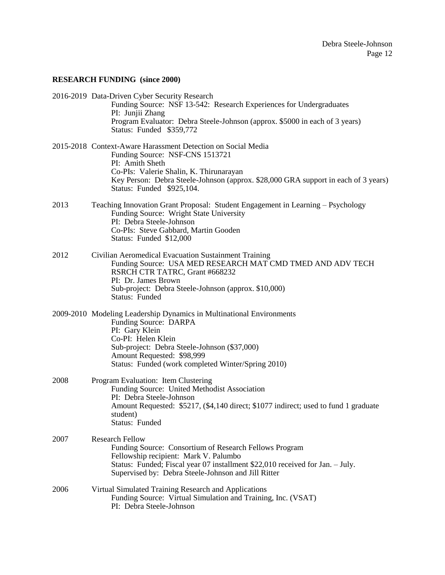# **RESEARCH FUNDING (since 2000)**

|      | 2016-2019 Data-Driven Cyber Security Research<br>Funding Source: NSF 13-542: Research Experiences for Undergraduates<br>PI: Junjii Zhang<br>Program Evaluator: Debra Steele-Johnson (approx. \$5000 in each of 3 years)<br>Status: Funded \$359,772                              |
|------|----------------------------------------------------------------------------------------------------------------------------------------------------------------------------------------------------------------------------------------------------------------------------------|
|      | 2015-2018 Context-Aware Harassment Detection on Social Media<br>Funding Source: NSF-CNS 1513721<br>PI: Amith Sheth<br>Co-PIs: Valerie Shalin, K. Thirunarayan<br>Key Person: Debra Steele-Johnson (approx. \$28,000 GRA support in each of 3 years)<br>Status: Funded \$925,104. |
| 2013 | Teaching Innovation Grant Proposal: Student Engagement in Learning - Psychology<br>Funding Source: Wright State University<br>PI: Debra Steele-Johnson<br>Co-PIs: Steve Gabbard, Martin Gooden<br>Status: Funded \$12,000                                                        |
| 2012 | Civilian Aeromedical Evacuation Sustainment Training<br>Funding Source: USA MED RESEARCH MAT CMD TMED AND ADV TECH<br>RSRCH CTR TATRC, Grant #668232<br>PI: Dr. James Brown<br>Sub-project: Debra Steele-Johnson (approx. \$10,000)<br>Status: Funded                            |
|      | 2009-2010 Modeling Leadership Dynamics in Multinational Environments<br>Funding Source: DARPA<br>PI: Gary Klein<br>Co-PI: Helen Klein<br>Sub-project: Debra Steele-Johnson (\$37,000)<br>Amount Requested: \$98,999<br>Status: Funded (work completed Winter/Spring 2010)        |
| 2008 | Program Evaluation: Item Clustering<br>Funding Source: United Methodist Association<br>PI: Debra Steele-Johnson<br>Amount Requested: \$5217, (\$4,140 direct; \$1077 indirect; used to fund 1 graduate<br>student)<br>Status: Funded                                             |
| 2007 | <b>Research Fellow</b><br>Funding Source: Consortium of Research Fellows Program<br>Fellowship recipient: Mark V. Palumbo<br>Status: Funded; Fiscal year 07 installment \$22,010 received for Jan. - July.<br>Supervised by: Debra Steele-Johnson and Jill Ritter                |
| 2006 | Virtual Simulated Training Research and Applications<br>Funding Source: Virtual Simulation and Training, Inc. (VSAT)<br>PI: Debra Steele-Johnson                                                                                                                                 |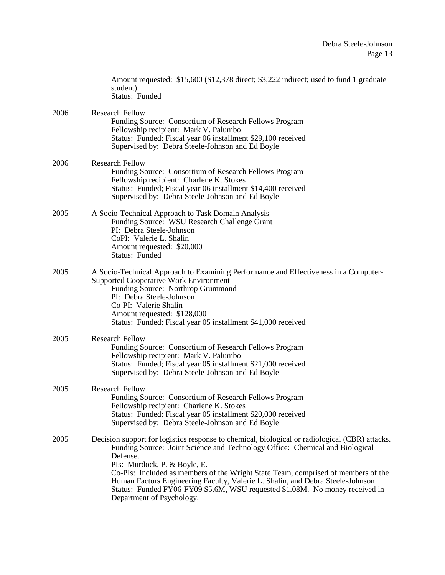|      | Amount requested: \$15,600 (\$12,378 direct; \$3,222 indirect; used to fund 1 graduate<br>student)<br>Status: Funded                                                                                                                                                                                                                                                                                                                                                                                           |
|------|----------------------------------------------------------------------------------------------------------------------------------------------------------------------------------------------------------------------------------------------------------------------------------------------------------------------------------------------------------------------------------------------------------------------------------------------------------------------------------------------------------------|
| 2006 | <b>Research Fellow</b><br>Funding Source: Consortium of Research Fellows Program<br>Fellowship recipient: Mark V. Palumbo<br>Status: Funded; Fiscal year 06 installment \$29,100 received<br>Supervised by: Debra Steele-Johnson and Ed Boyle                                                                                                                                                                                                                                                                  |
| 2006 | <b>Research Fellow</b><br>Funding Source: Consortium of Research Fellows Program<br>Fellowship recipient: Charlene K. Stokes<br>Status: Funded; Fiscal year 06 installment \$14,400 received<br>Supervised by: Debra Steele-Johnson and Ed Boyle                                                                                                                                                                                                                                                               |
| 2005 | A Socio-Technical Approach to Task Domain Analysis<br>Funding Source: WSU Research Challenge Grant<br>PI: Debra Steele-Johnson<br>CoPI: Valerie L. Shalin<br>Amount requested: \$20,000<br>Status: Funded                                                                                                                                                                                                                                                                                                      |
| 2005 | A Socio-Technical Approach to Examining Performance and Effectiveness in a Computer-<br><b>Supported Cooperative Work Environment</b><br>Funding Source: Northrop Grummond<br>PI: Debra Steele-Johnson<br>Co-PI: Valerie Shalin<br>Amount requested: \$128,000<br>Status: Funded; Fiscal year 05 installment \$41,000 received                                                                                                                                                                                 |
| 2005 | <b>Research Fellow</b><br>Funding Source: Consortium of Research Fellows Program<br>Fellowship recipient: Mark V. Palumbo<br>Status: Funded; Fiscal year 05 installment \$21,000 received<br>Supervised by: Debra Steele-Johnson and Ed Boyle                                                                                                                                                                                                                                                                  |
| 2005 | <b>Research Fellow</b><br>Funding Source: Consortium of Research Fellows Program<br>Fellowship recipient: Charlene K. Stokes<br>Status: Funded; Fiscal year 05 installment \$20,000 received<br>Supervised by: Debra Steele-Johnson and Ed Boyle                                                                                                                                                                                                                                                               |
| 2005 | Decision support for logistics response to chemical, biological or radiological (CBR) attacks.<br>Funding Source: Joint Science and Technology Office: Chemical and Biological<br>Defense.<br>PIs: Murdock, P. & Boyle, E.<br>Co-PIs: Included as members of the Wright State Team, comprised of members of the<br>Human Factors Engineering Faculty, Valerie L. Shalin, and Debra Steele-Johnson<br>Status: Funded FY06-FY09 \$5.6M, WSU requested \$1.08M. No money received in<br>Department of Psychology. |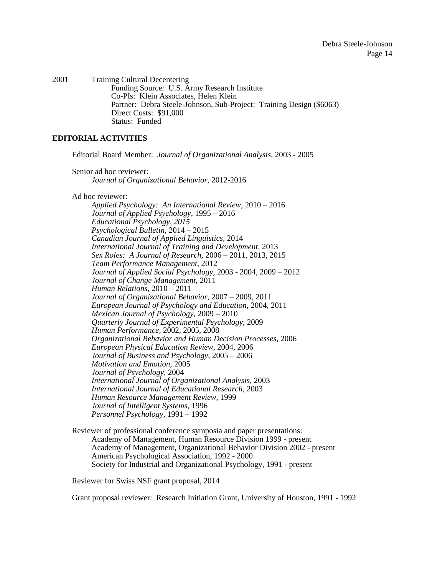2001 Training Cultural Decentering Funding Source: U.S. Army Research Institute Co-PIs: Klein Associates, Helen Klein Partner: Debra Steele-Johnson, Sub-Project: Training Design (\$6063) Direct Costs: \$91,000 Status: Funded

# **EDITORIAL ACTIVITIES**

Editorial Board Member: *Journal of Organizational Analysis*, 2003 - 2005

Senior ad hoc reviewer: *Journal of Organizational Behavior,* 2012-2016

Ad hoc reviewer:

*Applied Psychology: An International Review,* 2010 – 2016 *Journal of Applied Psychology*, 1995 – 2016 *Educational Psychology, 2015 Psychological Bulletin,* 2014 – 2015 *Canadian Journal of Applied Linguistics,* 2014 *International Journal of Training and Development,* 2013 *Sex Roles: A Journal of Research,* 2006 – 2011, 2013, 2015 *Team Performance Management,* 2012 *Journal of Applied Social Psychology,* 2003 - 2004, 2009 – 2012 *Journal of Change Management,* 2011 *Human Relations,* 2010 – 2011 *Journal of Organizational Behavior,* 2007 – 2009, 2011 *European Journal of Psychology and Education,* 2004, 2011 *Mexican Journal of Psychology,* 2009 – 2010 *Quarterly Journal of Experimental Psychology,* 2009 *Human Performance,* 2002, 2005, 2008 *Organizational Behavior and Human Decision Processes,* 2006 *European Physical Education Review,* 2004, 2006 *Journal of Business and Psychology,* 2005 – 2006 *Motivation and Emotion,* 2005 *Journal of Psychology,* 2004 *International Journal of Organizational Analysis,* 2003 *International Journal of Educational Research,* 2003 *Human Resource Management Review*, 1999 *Journal of Intelligent Systems*, 1996 *Personnel Psychology*, 1991 – 1992

Reviewer of professional conference symposia and paper presentations: Academy of Management, Human Resource Division 1999 - present Academy of Management, Organizational Behavior Division 2002 - present American Psychological Association, 1992 - 2000 Society for Industrial and Organizational Psychology, 1991 - present

Reviewer for Swiss NSF grant proposal, 2014

Grant proposal reviewer: Research Initiation Grant, University of Houston, 1991 - 1992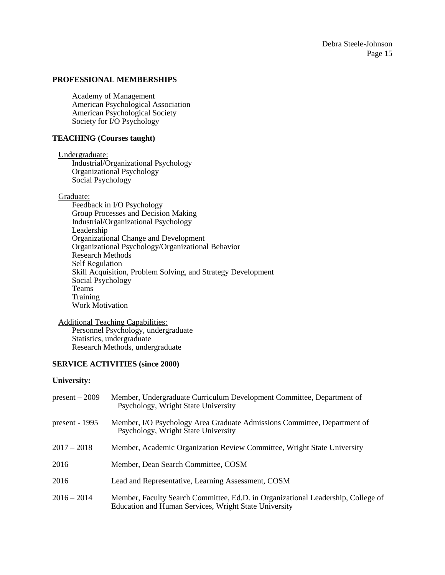# **PROFESSIONAL MEMBERSHIPS**

Academy of Management American Psychological Association American Psychological Society Society for I/O Psychology

# **TEACHING (Courses taught)**

Undergraduate:

Industrial/Organizational Psychology Organizational Psychology Social Psychology

### Graduate:

Feedback in I/O Psychology Group Processes and Decision Making Industrial/Organizational Psychology Leadership Organizational Change and Development Organizational Psychology/Organizational Behavior Research Methods Self Regulation Skill Acquisition, Problem Solving, and Strategy Development Social Psychology Teams Training Work Motivation

#### Additional Teaching Capabilities:

Personnel Psychology, undergraduate Statistics, undergraduate Research Methods, undergraduate

# **SERVICE ACTIVITIES (since 2000)**

#### **University:**

| $present-2009$   | Member, Undergraduate Curriculum Development Committee, Department of<br>Psychology, Wright State University                              |
|------------------|-------------------------------------------------------------------------------------------------------------------------------------------|
| present - $1995$ | Member, I/O Psychology Area Graduate Admissions Committee, Department of<br>Psychology, Wright State University                           |
| $2017 - 2018$    | Member, Academic Organization Review Committee, Wright State University                                                                   |
| 2016             | Member, Dean Search Committee, COSM                                                                                                       |
| 2016             | Lead and Representative, Learning Assessment, COSM                                                                                        |
| $2016 - 2014$    | Member, Faculty Search Committee, Ed.D. in Organizational Leadership, College of<br>Education and Human Services, Wright State University |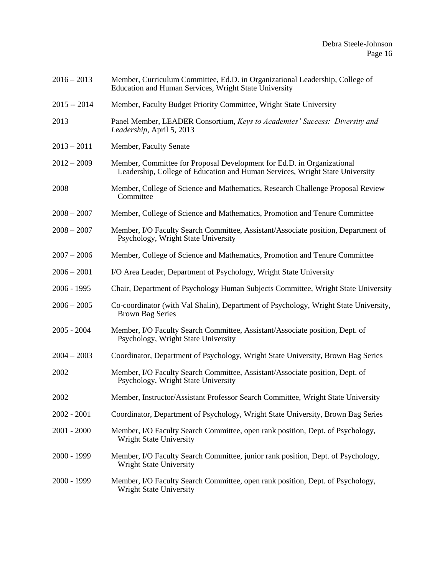- 2016 2013 Member, Curriculum Committee, Ed.D. in Organizational Leadership, College of Education and Human Services, Wright State University
- 2015 -- 2014 Member, Faculty Budget Priority Committee, Wright State University
- 2013 Panel Member, LEADER Consortium, *Keys to Academics' Success: Diversity and Leadership,* April 5, 2013
- 2013 2011 Member, Faculty Senate
- 2012 2009 Member, Committee for Proposal Development for Ed.D. in Organizational Leadership, College of Education and Human Services, Wright State University
- 2008 Member, College of Science and Mathematics, Research Challenge Proposal Review Committee
- 2008 2007 Member, College of Science and Mathematics, Promotion and Tenure Committee
- 2008 2007 Member, I/O Faculty Search Committee, Assistant/Associate position, Department of Psychology, Wright State University
- 2007 2006 Member, College of Science and Mathematics, Promotion and Tenure Committee
- 2006 2001 I/O Area Leader, Department of Psychology, Wright State University
- 2006 1995 Chair, Department of Psychology Human Subjects Committee, Wright State University
- 2006 2005 Co-coordinator (with Val Shalin), Department of Psychology, Wright State University, Brown Bag Series
- 2005 2004 Member, I/O Faculty Search Committee, Assistant/Associate position, Dept. of Psychology, Wright State University
- 2004 2003 Coordinator, Department of Psychology, Wright State University, Brown Bag Series
- 2002 Member, I/O Faculty Search Committee, Assistant/Associate position, Dept. of Psychology, Wright State University
- 2002 Member, Instructor/Assistant Professor Search Committee, Wright State University
- 2002 2001 Coordinator, Department of Psychology, Wright State University, Brown Bag Series
- 2001 2000 Member, I/O Faculty Search Committee, open rank position, Dept. of Psychology, Wright State University
- 2000 1999 Member, I/O Faculty Search Committee, junior rank position, Dept. of Psychology, Wright State University
- 2000 1999 Member, I/O Faculty Search Committee, open rank position, Dept. of Psychology, Wright State University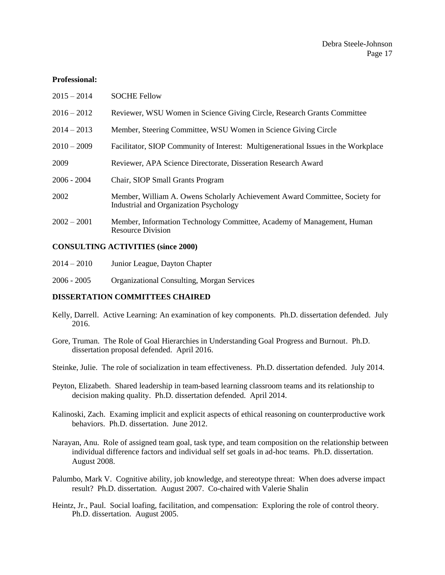### **Professional:**

| $2015 - 2014$ | <b>SOCHE Fellow</b>                                                                                                   |
|---------------|-----------------------------------------------------------------------------------------------------------------------|
| $2016 - 2012$ | Reviewer, WSU Women in Science Giving Circle, Research Grants Committee                                               |
| $2014 - 2013$ | Member, Steering Committee, WSU Women in Science Giving Circle                                                        |
| $2010 - 2009$ | Facilitator, SIOP Community of Interest: Multigenerational Issues in the Workplace                                    |
| 2009          | Reviewer, APA Science Directorate, Disseration Research Award                                                         |
| $2006 - 2004$ | Chair, SIOP Small Grants Program                                                                                      |
| 2002          | Member, William A. Owens Scholarly Achievement Award Committee, Society for<br>Industrial and Organization Psychology |
| $2002 - 2001$ | Member, Information Technology Committee, Academy of Management, Human<br><b>Resource Division</b>                    |

### **CONSULTING ACTIVITIES (since 2000)**

| $2014 - 2010$ | Junior League, Dayton Chapter |
|---------------|-------------------------------|
|---------------|-------------------------------|

2006 - 2005 Organizational Consulting, Morgan Services

# **DISSERTATION COMMITTEES CHAIRED**

- Kelly, Darrell. Active Learning: An examination of key components. Ph.D. dissertation defended. July 2016.
- Gore, Truman. The Role of Goal Hierarchies in Understanding Goal Progress and Burnout. Ph.D. dissertation proposal defended. April 2016.
- Steinke, Julie. The role of socialization in team effectiveness. Ph.D. dissertation defended. July 2014.
- Peyton, Elizabeth. Shared leadership in team-based learning classroom teams and its relationship to decision making quality. Ph.D. dissertation defended. April 2014.
- Kalinoski, Zach. Examing implicit and explicit aspects of ethical reasoning on counterproductive work behaviors. Ph.D. dissertation. June 2012.
- Narayan, Anu. Role of assigned team goal, task type, and team composition on the relationship between individual difference factors and individual self set goals in ad-hoc teams. Ph.D. dissertation. August 2008.
- Palumbo, Mark V. Cognitive ability, job knowledge, and stereotype threat: When does adverse impact result? Ph.D. dissertation. August 2007. Co-chaired with Valerie Shalin
- Heintz, Jr., Paul. Social loafing, facilitation, and compensation: Exploring the role of control theory. Ph.D. dissertation. August 2005.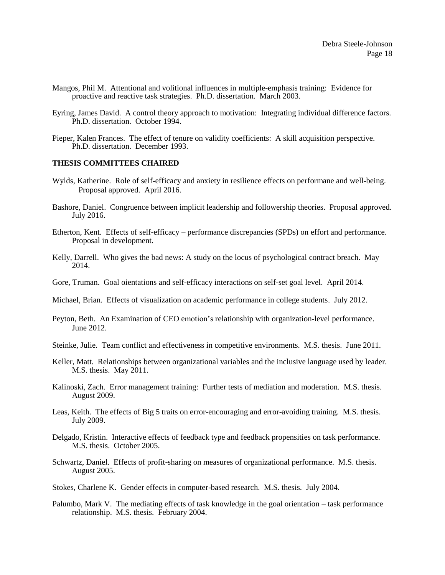- Mangos, Phil M. Attentional and volitional influences in multiple-emphasis training: Evidence for proactive and reactive task strategies. Ph.D. dissertation. March 2003.
- Eyring, James David. A control theory approach to motivation: Integrating individual difference factors. Ph.D. dissertation. October 1994.
- Pieper, Kalen Frances. The effect of tenure on validity coefficients: A skill acquisition perspective. Ph.D. dissertation. December 1993.

# **THESIS COMMITTEES CHAIRED**

- Wylds, Katherine. Role of self-efficacy and anxiety in resilience effects on performane and well-being. Proposal approved. April 2016.
- Bashore, Daniel. Congruence between implicit leadership and followership theories. Proposal approved. July 2016.
- Etherton, Kent. Effects of self-efficacy performance discrepancies (SPDs) on effort and performance. Proposal in development.
- Kelly, Darrell. Who gives the bad news: A study on the locus of psychological contract breach. May 2014.
- Gore, Truman. Goal oientations and self-efficacy interactions on self-set goal level. April 2014.
- Michael, Brian. Effects of visualization on academic performance in college students. July 2012.
- Peyton, Beth. An Examination of CEO emotion's relationship with organization-level performance. June 2012.
- Steinke, Julie. Team conflict and effectiveness in competitive environments. M.S. thesis. June 2011.
- Keller, Matt. Relationships between organizational variables and the inclusive language used by leader. M.S. thesis. May 2011.
- Kalinoski, Zach. Error management training: Further tests of mediation and moderation. M.S. thesis. August 2009.
- Leas, Keith. The effects of Big 5 traits on error-encouraging and error-avoiding training. M.S. thesis. July 2009.
- Delgado, Kristin. Interactive effects of feedback type and feedback propensities on task performance. M.S. thesis. October 2005.
- Schwartz, Daniel. Effects of profit-sharing on measures of organizational performance. M.S. thesis. August 2005.
- Stokes, Charlene K. Gender effects in computer-based research. M.S. thesis. July 2004.
- Palumbo, Mark V. The mediating effects of task knowledge in the goal orientation task performance relationship. M.S. thesis. February 2004.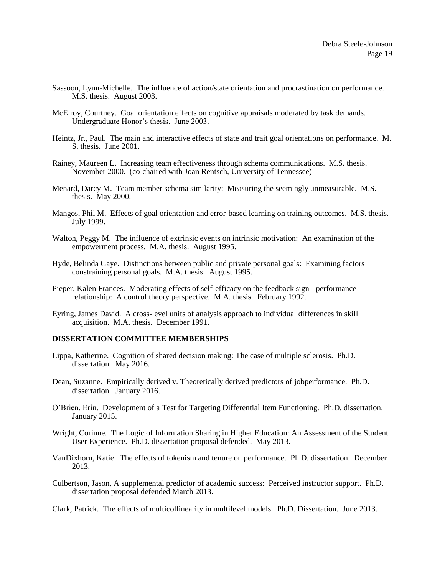- Sassoon, Lynn-Michelle. The influence of action/state orientation and procrastination on performance. M.S. thesis. August 2003.
- McElroy, Courtney. Goal orientation effects on cognitive appraisals moderated by task demands. Undergraduate Honor's thesis. June 2003.
- Heintz, Jr., Paul. The main and interactive effects of state and trait goal orientations on performance. M. S. thesis. June 2001.
- Rainey, Maureen L. Increasing team effectiveness through schema communications. M.S. thesis. November 2000. (co-chaired with Joan Rentsch, University of Tennessee)
- Menard, Darcy M. Team member schema similarity: Measuring the seemingly unmeasurable. M.S. thesis. May 2000.
- Mangos, Phil M. Effects of goal orientation and error-based learning on training outcomes. M.S. thesis. July 1999.
- Walton, Peggy M. The influence of extrinsic events on intrinsic motivation: An examination of the empowerment process. M.A. thesis. August 1995.
- Hyde, Belinda Gaye. Distinctions between public and private personal goals: Examining factors constraining personal goals. M.A. thesis. August 1995.
- Pieper, Kalen Frances. Moderating effects of self-efficacy on the feedback sign performance relationship: A control theory perspective. M.A. thesis. February 1992.
- Eyring, James David. A cross-level units of analysis approach to individual differences in skill acquisition. M.A. thesis. December 1991.

#### **DISSERTATION COMMITTEE MEMBERSHIPS**

- Lippa, Katherine. Cognition of shared decision making: The case of multiple sclerosis. Ph.D. dissertation. May 2016.
- Dean, Suzanne. Empirically derived v. Theoretically derived predictors of jobperformance. Ph.D. dissertation. January 2016.
- O'Brien, Erin. Development of a Test for Targeting Differential Item Functioning. Ph.D. dissertation. January 2015.
- Wright, Corinne. The Logic of Information Sharing in Higher Education: An Assessment of the Student User Experience. Ph.D. dissertation proposal defended. May 2013.
- VanDixhorn, Katie. The effects of tokenism and tenure on performance. Ph.D. dissertation. December 2013.
- Culbertson, Jason, A supplemental predictor of academic success: Perceived instructor support. Ph.D. dissertation proposal defended March 2013.

Clark, Patrick. The effects of multicollinearity in multilevel models. Ph.D. Dissertation. June 2013.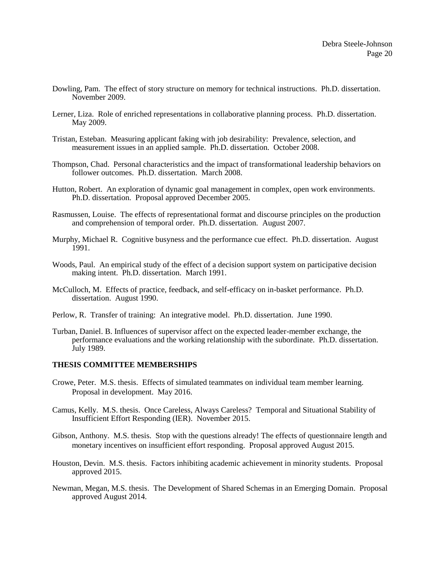- Dowling, Pam. The effect of story structure on memory for technical instructions. Ph.D. dissertation. November 2009.
- Lerner, Liza. Role of enriched representations in collaborative planning process. Ph.D. dissertation. May 2009.
- Tristan, Esteban. Measuring applicant faking with job desirability: Prevalence, selection, and measurement issues in an applied sample. Ph.D. dissertation. October 2008.
- Thompson, Chad. Personal characteristics and the impact of transformational leadership behaviors on follower outcomes. Ph.D. dissertation. March 2008.
- Hutton, Robert. An exploration of dynamic goal management in complex, open work environments. Ph.D. dissertation. Proposal approved December 2005.
- Rasmussen, Louise. The effects of representational format and discourse principles on the production and comprehension of temporal order. Ph.D. dissertation. August 2007.
- Murphy, Michael R. Cognitive busyness and the performance cue effect. Ph.D. dissertation. August 1991.
- Woods, Paul. An empirical study of the effect of a decision support system on participative decision making intent. Ph.D. dissertation. March 1991.
- McCulloch, M. Effects of practice, feedback, and self-efficacy on in-basket performance. Ph.D. dissertation. August 1990.
- Perlow, R. Transfer of training: An integrative model. Ph.D. dissertation. June 1990.
- Turban, Daniel. B. Influences of supervisor affect on the expected leader-member exchange, the performance evaluations and the working relationship with the subordinate. Ph.D. dissertation. July 1989.

# **THESIS COMMITTEE MEMBERSHIPS**

- Crowe, Peter. M.S. thesis. Effects of simulated teammates on individual team member learning. Proposal in development. May 2016.
- Camus, Kelly. M.S. thesis. Once Careless, Always Careless? Temporal and Situational Stability of Insufficient Effort Responding (IER). November 2015.
- Gibson, Anthony. M.S. thesis. Stop with the questions already! The effects of questionnaire length and monetary incentives on insufficient effort responding. Proposal approved August 2015.
- Houston, Devin. M.S. thesis. Factors inhibiting academic achievement in minority students. Proposal approved 2015.
- Newman, Megan, M.S. thesis. The Development of Shared Schemas in an Emerging Domain. Proposal approved August 2014.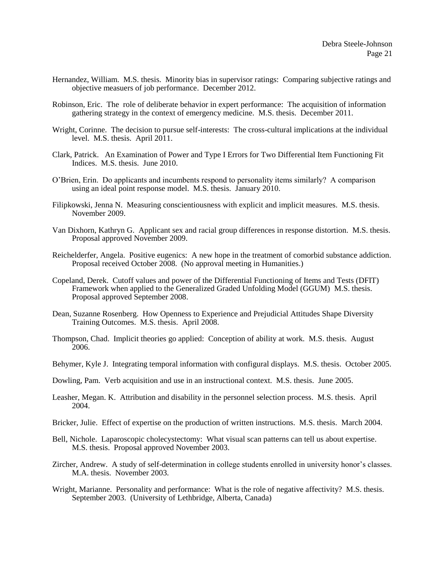- Hernandez, William. M.S. thesis. Minority bias in supervisor ratings: Comparing subjective ratings and objective measuers of job performance. December 2012.
- Robinson, Eric. The role of deliberate behavior in expert performance: The acquisition of information gathering strategy in the context of emergency medicine. M.S. thesis. December 2011.
- Wright, Corinne. The decision to pursue self-interests: The cross-cultural implications at the individual level. M.S. thesis. April 2011.
- Clark, Patrick. An Examination of Power and Type I Errors for Two Differential Item Functioning Fit Indices. M.S. thesis. June 2010.
- O'Brien, Erin. Do applicants and incumbents respond to personality items similarly? A comparison using an ideal point response model. M.S. thesis. January 2010.
- Filipkowski, Jenna N. Measuring conscientiousness with explicit and implicit measures. M.S. thesis. November 2009.
- Van Dixhorn, Kathryn G. Applicant sex and racial group differences in response distortion. M.S. thesis. Proposal approved November 2009.
- Reichelderfer, Angela. Positive eugenics: A new hope in the treatment of comorbid substance addiction. Proposal received October 2008. (No approval meeting in Humanities.)
- Copeland, Derek. Cutoff values and power of the Differential Functioning of Items and Tests (DFIT) Framework when applied to the Generalized Graded Unfolding Model (GGUM) M.S. thesis. Proposal approved September 2008.
- Dean, Suzanne Rosenberg. How Openness to Experience and Prejudicial Attitudes Shape Diversity Training Outcomes. M.S. thesis. April 2008.
- Thompson, Chad. Implicit theories go applied: Conception of ability at work. M.S. thesis. August 2006.
- Behymer, Kyle J. Integrating temporal information with configural displays. M.S. thesis. October 2005.
- Dowling, Pam. Verb acquisition and use in an instructional context. M.S. thesis. June 2005.
- Leasher, Megan. K. Attribution and disability in the personnel selection process. M.S. thesis. April 2004.
- Bricker, Julie. Effect of expertise on the production of written instructions. M.S. thesis. March 2004.
- Bell, Nichole. Laparoscopic cholecystectomy: What visual scan patterns can tell us about expertise. M.S. thesis. Proposal approved November 2003.
- Zircher, Andrew. A study of self-determination in college students enrolled in university honor's classes. M.A. thesis. November 2003.
- Wright, Marianne. Personality and performance: What is the role of negative affectivity? M.S. thesis. September 2003. (University of Lethbridge, Alberta, Canada)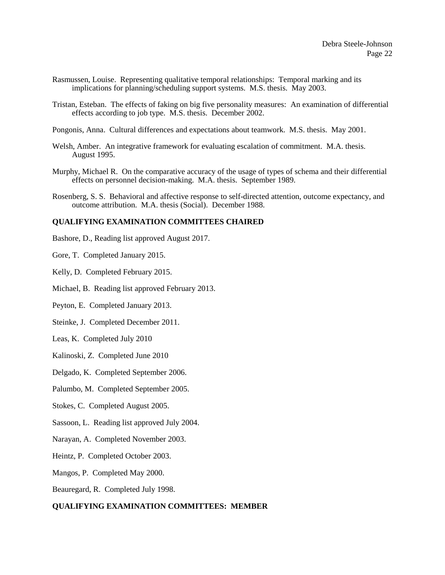- Rasmussen, Louise. Representing qualitative temporal relationships: Temporal marking and its implications for planning/scheduling support systems. M.S. thesis. May 2003.
- Tristan, Esteban. The effects of faking on big five personality measures: An examination of differential effects according to job type. M.S. thesis. December 2002.
- Pongonis, Anna. Cultural differences and expectations about teamwork. M.S. thesis. May 2001.
- Welsh, Amber. An integrative framework for evaluating escalation of commitment. M.A. thesis. August 1995.
- Murphy, Michael R. On the comparative accuracy of the usage of types of schema and their differential effects on personnel decision-making. M.A. thesis. September 1989.
- Rosenberg, S. S. Behavioral and affective response to self-directed attention, outcome expectancy, and outcome attribution. M.A. thesis (Social). December 1988.

### **QUALIFYING EXAMINATION COMMITTEES CHAIRED**

- Bashore, D., Reading list approved August 2017.
- Gore, T. Completed January 2015.
- Kelly, D. Completed February 2015.
- Michael, B. Reading list approved February 2013.
- Peyton, E. Completed January 2013.
- Steinke, J. Completed December 2011.
- Leas, K. Completed July 2010
- Kalinoski, Z. Completed June 2010
- Delgado, K. Completed September 2006.
- Palumbo, M. Completed September 2005.
- Stokes, C. Completed August 2005.
- Sassoon, L. Reading list approved July 2004.
- Narayan, A. Completed November 2003.
- Heintz, P. Completed October 2003.
- Mangos, P. Completed May 2000.
- Beauregard, R. Completed July 1998.

### **QUALIFYING EXAMINATION COMMITTEES: MEMBER**